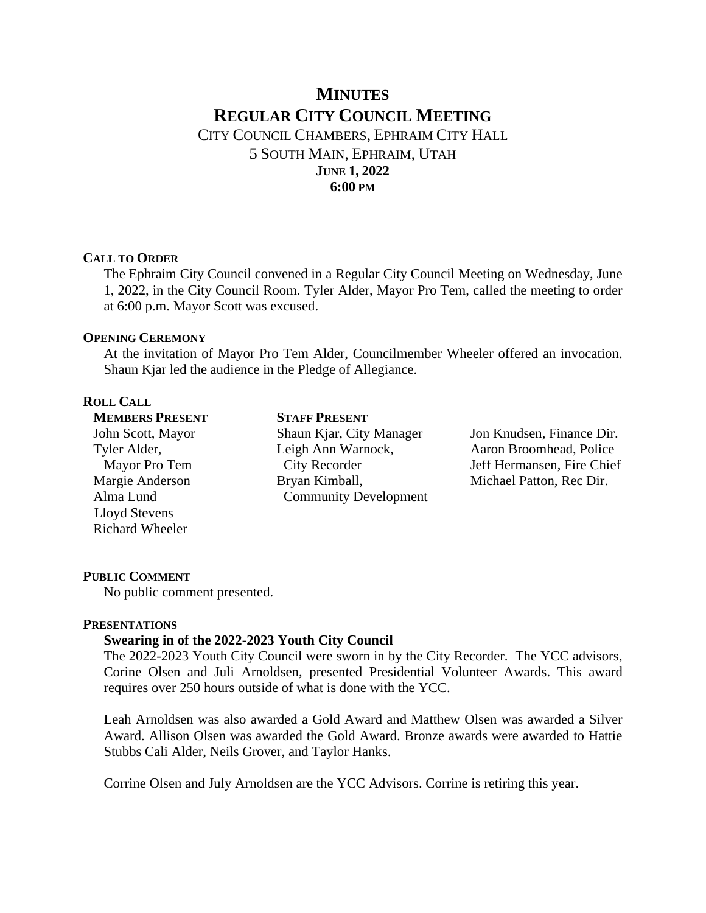# **MINUTES REGULAR CITY COUNCIL MEETING** CITY COUNCIL CHAMBERS, EPHRAIM CITY HALL

5 SOUTH MAIN, EPHRAIM, UTAH **JUNE 1, 2022 6:00 PM**

#### **CALL TO ORDER**

The Ephraim City Council convened in a Regular City Council Meeting on Wednesday, June 1, 2022, in the City Council Room. Tyler Alder, Mayor Pro Tem, called the meeting to order at 6:00 p.m. Mayor Scott was excused.

## **OPENING CEREMONY**

At the invitation of Mayor Pro Tem Alder, Councilmember Wheeler offered an invocation. Shaun Kjar led the audience in the Pledge of Allegiance.

# **ROLL CALL**

**MEMBERS PRESENT** John Scott, Mayor Tyler Alder, Mayor Pro Tem Margie Anderson Alma Lund Lloyd Stevens Richard Wheeler

**STAFF PRESENT** Shaun Kjar, City Manager Leigh Ann Warnock, City Recorder Bryan Kimball, Community Development

Jon Knudsen, Finance Dir. Aaron Broomhead, Police Jeff Hermansen, Fire Chief Michael Patton, Rec Dir.

# **PUBLIC COMMENT**

No public comment presented.

# **PRESENTATIONS**

# **Swearing in of the 2022-2023 Youth City Council**

The 2022-2023 Youth City Council were sworn in by the City Recorder. The YCC advisors, Corine Olsen and Juli Arnoldsen, presented Presidential Volunteer Awards. This award requires over 250 hours outside of what is done with the YCC.

Leah Arnoldsen was also awarded a Gold Award and Matthew Olsen was awarded a Silver Award. Allison Olsen was awarded the Gold Award. Bronze awards were awarded to Hattie Stubbs Cali Alder, Neils Grover, and Taylor Hanks.

Corrine Olsen and July Arnoldsen are the YCC Advisors. Corrine is retiring this year.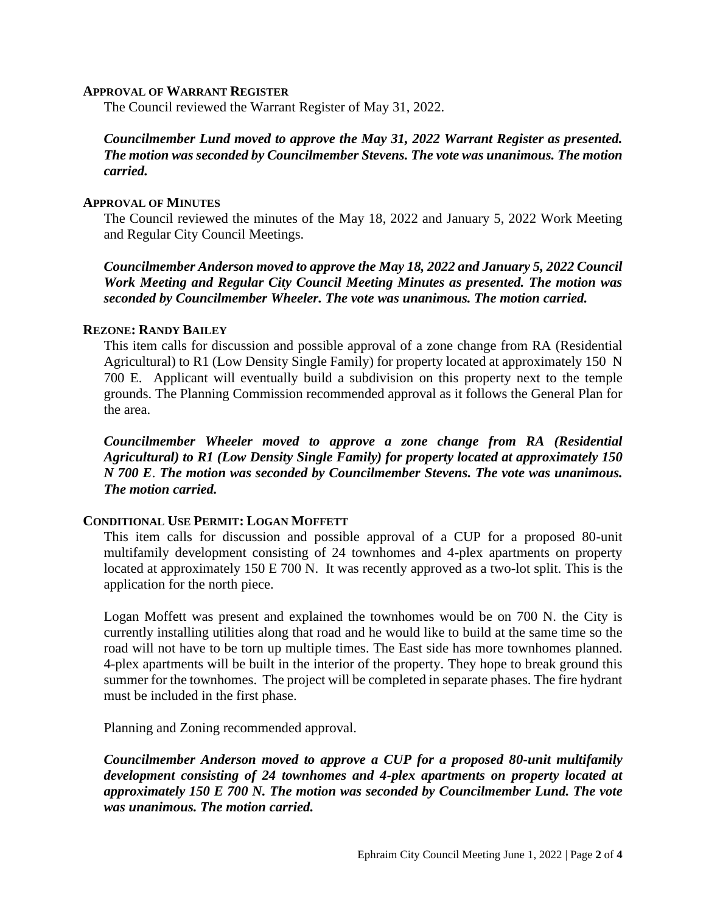#### **APPROVAL OF WARRANT REGISTER**

The Council reviewed the Warrant Register of May 31, 2022.

# *Councilmember Lund moved to approve the May 31, 2022 Warrant Register as presented. The motion was seconded by Councilmember Stevens. The vote was unanimous. The motion carried.*

## **APPROVAL OF MINUTES**

The Council reviewed the minutes of the May 18, 2022 and January 5, 2022 Work Meeting and Regular City Council Meetings.

*Councilmember Anderson moved to approve the May 18, 2022 and January 5, 2022 Council Work Meeting and Regular City Council Meeting Minutes as presented. The motion was seconded by Councilmember Wheeler. The vote was unanimous. The motion carried.*

#### **REZONE: RANDY BAILEY**

This item calls for discussion and possible approval of a zone change from RA (Residential Agricultural) to R1 (Low Density Single Family) for property located at approximately 150 N 700 E. Applicant will eventually build a subdivision on this property next to the temple grounds. The Planning Commission recommended approval as it follows the General Plan for the area.

*Councilmember Wheeler moved to approve a zone change from RA (Residential Agricultural) to R1 (Low Density Single Family) for property located at approximately 150 N 700 E*. *The motion was seconded by Councilmember Stevens. The vote was unanimous. The motion carried.*

#### **CONDITIONAL USE PERMIT: LOGAN MOFFETT**

This item calls for discussion and possible approval of a CUP for a proposed 80-unit multifamily development consisting of 24 townhomes and 4-plex apartments on property located at approximately 150 E 700 N. It was recently approved as a two-lot split. This is the application for the north piece.

Logan Moffett was present and explained the townhomes would be on 700 N. the City is currently installing utilities along that road and he would like to build at the same time so the road will not have to be torn up multiple times. The East side has more townhomes planned. 4-plex apartments will be built in the interior of the property. They hope to break ground this summer for the townhomes. The project will be completed in separate phases. The fire hydrant must be included in the first phase.

Planning and Zoning recommended approval.

*Councilmember Anderson moved to approve a CUP for a proposed 80-unit multifamily development consisting of 24 townhomes and 4-plex apartments on property located at approximately 150 E 700 N. The motion was seconded by Councilmember Lund. The vote was unanimous. The motion carried.*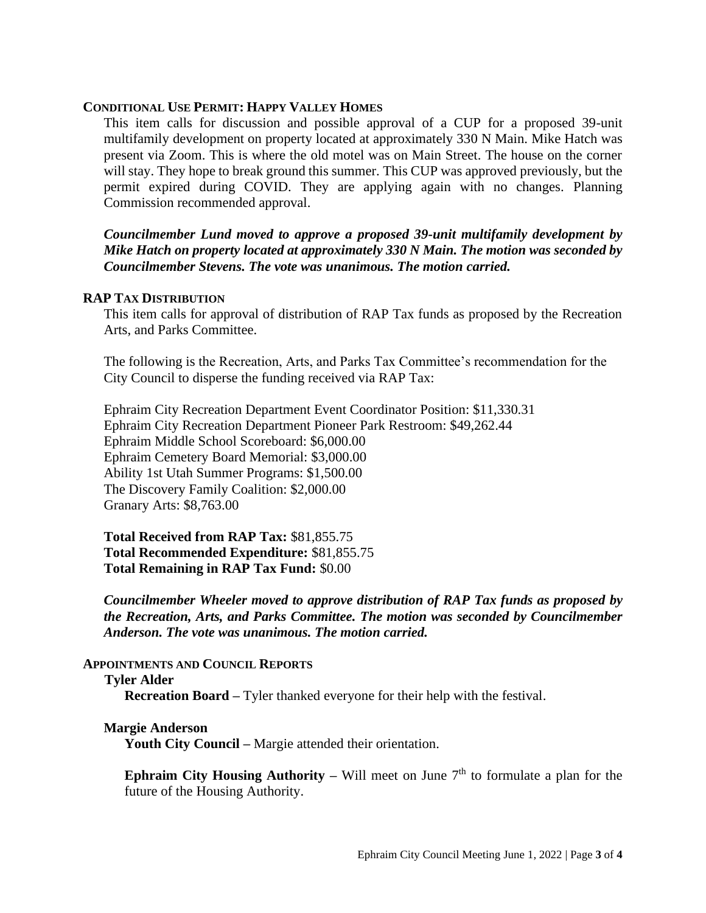#### **CONDITIONAL USE PERMIT: HAPPY VALLEY HOMES**

This item calls for discussion and possible approval of a CUP for a proposed 39-unit multifamily development on property located at approximately 330 N Main. Mike Hatch was present via Zoom. This is where the old motel was on Main Street. The house on the corner will stay. They hope to break ground this summer. This CUP was approved previously, but the permit expired during COVID. They are applying again with no changes. Planning Commission recommended approval.

*Councilmember Lund moved to approve a proposed 39-unit multifamily development by Mike Hatch on property located at approximately 330 N Main. The motion was seconded by Councilmember Stevens. The vote was unanimous. The motion carried.*

#### **RAP TAX DISTRIBUTION**

This item calls for approval of distribution of RAP Tax funds as proposed by the Recreation Arts, and Parks Committee.

The following is the Recreation, Arts, and Parks Tax Committee's recommendation for the City Council to disperse the funding received via RAP Tax:

Ephraim City Recreation Department Event Coordinator Position: \$11,330.31 Ephraim City Recreation Department Pioneer Park Restroom: \$49,262.44 Ephraim Middle School Scoreboard: \$6,000.00 Ephraim Cemetery Board Memorial: \$3,000.00 Ability 1st Utah Summer Programs: \$1,500.00 The Discovery Family Coalition: \$2,000.00 Granary Arts: \$8,763.00

**Total Received from RAP Tax:** \$81,855.75 **Total Recommended Expenditure:** \$81,855.75 **Total Remaining in RAP Tax Fund:** \$0.00

*Councilmember Wheeler moved to approve distribution of RAP Tax funds as proposed by the Recreation, Arts, and Parks Committee. The motion was seconded by Councilmember Anderson. The vote was unanimous. The motion carried.*

#### **APPOINTMENTS AND COUNCIL REPORTS**

#### **Tyler Alder**

**Recreation Board –** Tyler thanked everyone for their help with the festival.

#### **Margie Anderson**

**Youth City Council –** Margie attended their orientation.

**Ephraim City Housing Authority –** Will meet on June  $7<sup>th</sup>$  to formulate a plan for the future of the Housing Authority.